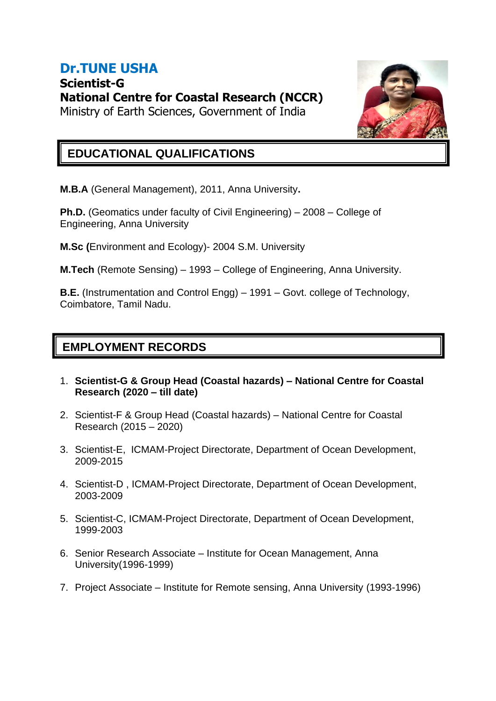# **Dr.TUNE USHA**

**Scientist-G National Centre for Coastal Research (NCCR)** Ministry of Earth Sciences, Government of India



### **EDUCATIONAL QUALIFICATIONS**

**M.B.A** (General Management), 2011, Anna University**.** 

Ph.D. (Geomatics under faculty of Civil Engineering) - 2008 - College of Engineering, Anna University

**M.Sc (**Environment and Ecology)- 2004 S.M. University

**M.Tech** (Remote Sensing) – 1993 – College of Engineering, Anna University.

**B.E.** (Instrumentation and Control Engg) – 1991 – Govt. college of Technology, Coimbatore, Tamil Nadu.

### **EMPLOYMENT RECORDS**

- 1. **Scientist-G & Group Head (Coastal hazards) – National Centre for Coastal Research (2020 – till date)**
- 2. Scientist-F & Group Head (Coastal hazards) National Centre for Coastal Research (2015 – 2020)
- 3. Scientist-E, ICMAM-Project Directorate, Department of Ocean Development, 2009-2015
- 4. Scientist-D , ICMAM-Project Directorate, Department of Ocean Development, 2003-2009
- 5. Scientist-C, ICMAM-Project Directorate, Department of Ocean Development, 1999-2003
- 6. Senior Research Associate Institute for Ocean Management, Anna University(1996-1999)
- 7. Project Associate Institute for Remote sensing, Anna University (1993-1996)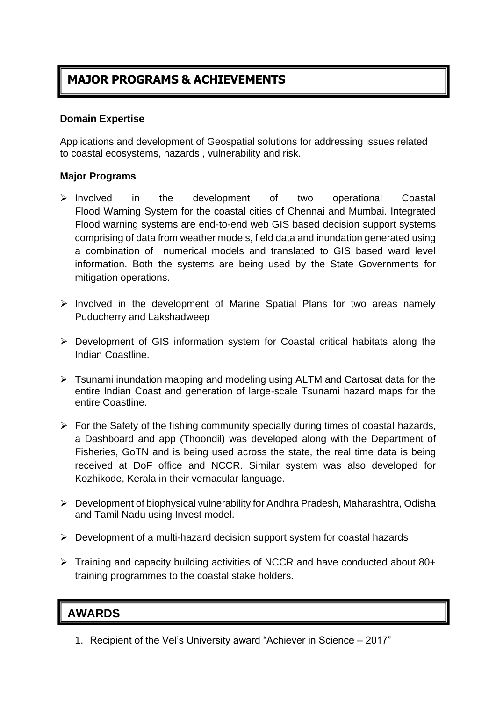# **MAJOR PROGRAMS & ACHIEVEMENTS**

#### **Domain Expertise**

Applications and development of Geospatial solutions for addressing issues related to coastal ecosystems, hazards , vulnerability and risk.

#### **Major Programs**

- ➢ Involved in the development of two operational Coastal Flood Warning System for the coastal cities of Chennai and Mumbai. Integrated Flood warning systems are end-to-end web GIS based decision support systems comprising of data from weather models, field data and inundation generated using a combination of numerical models and translated to GIS based ward level information. Both the systems are being used by the State Governments for mitigation operations.
- ➢ Involved in the development of Marine Spatial Plans for two areas namely Puducherry and Lakshadweep
- ➢ Development of GIS information system for Coastal critical habitats along the Indian Coastline.
- ➢ Tsunami inundation mapping and modeling using ALTM and Cartosat data for the entire Indian Coast and generation of large-scale Tsunami hazard maps for the entire Coastline.
- $\triangleright$  For the Safety of the fishing community specially during times of coastal hazards, a Dashboard and app (Thoondil) was developed along with the Department of Fisheries, GoTN and is being used across the state, the real time data is being received at DoF office and NCCR. Similar system was also developed for Kozhikode, Kerala in their vernacular language.
- ➢ Development of biophysical vulnerability for Andhra Pradesh, Maharashtra, Odisha and Tamil Nadu using Invest model.
- ➢ Development of a multi-hazard decision support system for coastal hazards
- ➢ Training and capacity building activities of NCCR and have conducted about 80+ training programmes to the coastal stake holders.

# **AWARDS**

1. Recipient of the Vel's University award "Achiever in Science – 2017"